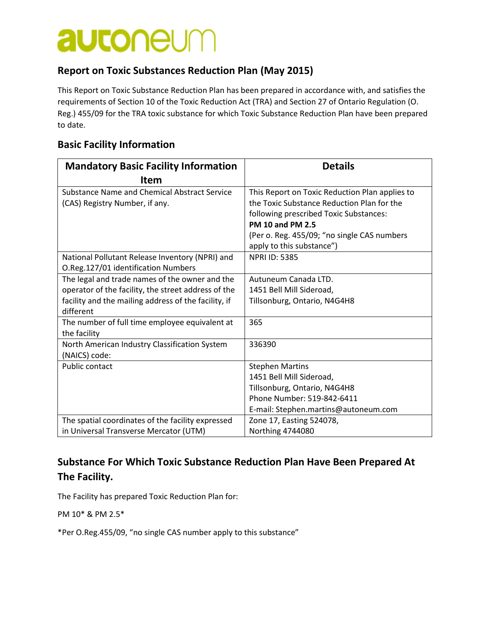# **autoneum**

#### **Report on Toxic Substances Reduction Plan (May 2015)**

This Report on Toxic Substance Reduction Plan has been prepared in accordance with, and satisfies the requirements of Section 10 of the Toxic Reduction Act (TRA) and Section 27 of Ontario Regulation (O. Reg.) 455/09 for the TRA toxic substance for which Toxic Substance Reduction Plan have been prepared to date.

#### **Basic Facility Information**

| <b>Mandatory Basic Facility Information</b>          | <b>Details</b>                                 |  |
|------------------------------------------------------|------------------------------------------------|--|
| <b>Item</b>                                          |                                                |  |
| Substance Name and Chemical Abstract Service         | This Report on Toxic Reduction Plan applies to |  |
| (CAS) Registry Number, if any.                       | the Toxic Substance Reduction Plan for the     |  |
|                                                      | following prescribed Toxic Substances:         |  |
|                                                      | <b>PM 10 and PM 2.5</b>                        |  |
|                                                      | (Per o. Reg. 455/09; "no single CAS numbers    |  |
|                                                      | apply to this substance")                      |  |
| National Pollutant Release Inventory (NPRI) and      | <b>NPRI ID: 5385</b>                           |  |
| O.Reg.127/01 identification Numbers                  |                                                |  |
| The legal and trade names of the owner and the       | Autuneum Canada LTD.                           |  |
| operator of the facility, the street address of the  | 1451 Bell Mill Sideroad,                       |  |
| facility and the mailing address of the facility, if | Tillsonburg, Ontario, N4G4H8                   |  |
| different                                            |                                                |  |
| The number of full time employee equivalent at       | 365                                            |  |
| the facility                                         |                                                |  |
| North American Industry Classification System        | 336390                                         |  |
| (NAICS) code:                                        |                                                |  |
| Public contact                                       | <b>Stephen Martins</b>                         |  |
|                                                      | 1451 Bell Mill Sideroad,                       |  |
|                                                      | Tillsonburg, Ontario, N4G4H8                   |  |
|                                                      | Phone Number: 519-842-6411                     |  |
|                                                      | E-mail: Stephen.martins@autoneum.com           |  |
| The spatial coordinates of the facility expressed    | Zone 17, Easting 524078,                       |  |
| in Universal Transverse Mercator (UTM)               | Northing 4744080                               |  |

### **Substance For Which Toxic Substance Reduction Plan Have Been Prepared At The Facility.**

The Facility has prepared Toxic Reduction Plan for:

PM 10\* & PM 2.5\*

\*Per O.Reg.455/09, "no single CAS number apply to this substance"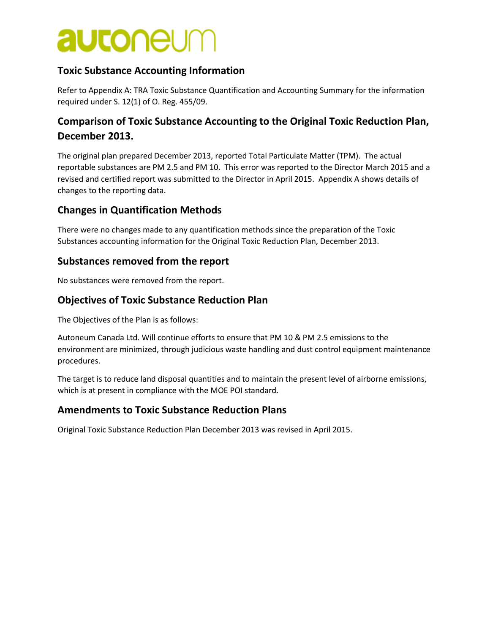# **autoneum**

#### **Toxic Substance Accounting Information**

Refer to Appendix A: TRA Toxic Substance Quantification and Accounting Summary for the information required under S. 12(1) of O. Reg. 455/09.

### **Comparison of Toxic Substance Accounting to the Original Toxic Reduction Plan, December 2013.**

The original plan prepared December 2013, reported Total Particulate Matter (TPM). The actual reportable substances are PM 2.5 and PM 10. This error was reported to the Director March 2015 and a revised and certified report was submitted to the Director in April 2015. Appendix A shows details of changes to the reporting data.

#### **Changes in Quantification Methods**

There were no changes made to any quantification methods since the preparation of the Toxic Substances accounting information for the Original Toxic Reduction Plan, December 2013.

#### **Substances removed from the report**

No substances were removed from the report.

#### **Objectives of Toxic Substance Reduction Plan**

The Objectives of the Plan is as follows:

Autoneum Canada Ltd. Will continue efforts to ensure that PM 10 & PM 2.5 emissions to the environment are minimized, through judicious waste handling and dust control equipment maintenance procedures.

The target is to reduce land disposal quantities and to maintain the present level of airborne emissions, which is at present in compliance with the MOE POI standard.

#### **Amendments to Toxic Substance Reduction Plans**

Original Toxic Substance Reduction Plan December 2013 was revised in April 2015.